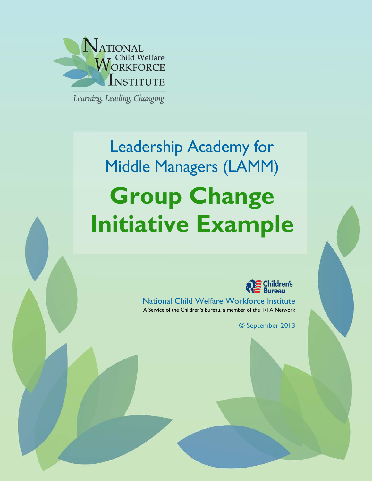

Learning, Leading, Changing

# Leadership Academy for Middle Managers (LAMM) **Group Change Initiative Example**



National Child Welfare Workforce Institute A Service of the Children's Bureau, a member of the T/TA Network

© September 2013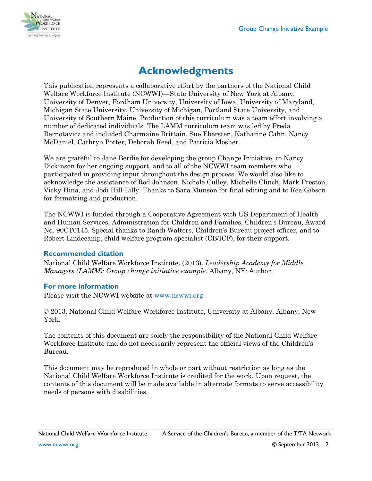

# **Acknowledgments**

This publication represents a collaborative effort by the partners of the National Child Welfare Workforce Institute (NCWWI)—State University of New York at Albany, University of Denver, Fordham University, University of Iowa, University of Maryland, Michigan State University, University of Michigan, Portland State University, and University of Southern Maine. Production of this curriculum was a team effort involving a number of dedicated individuals. The LAMM curriculum team was led by Freda Bernotavicz and included Charmaine Brittain, Sue Ebersten, Katharine Cahn, Nancy McDaniel, Cathryn Potter, Deborah Reed, and Patricia Mosher.

We are grateful to Jane Berdie for developing the group Change Initiative, to Nancy Dickinson for her ongoing support, and to all of the NCWWI team members who participated in providing input throughout the design process. We would also like to acknowledge the assistance of Rod Johnson, Nichole Culley, Michelle Clinch, Mark Preston, Vicky Hina, and Jodi Hill-Lilly. Thanks to Sara Munson for final editing and to Rea Gibson for formatting and production.

The NCWWI is funded through a Cooperative Agreement with US Department of Health and Human Services, Administration for Children and Families, Children's Bureau, Award No. 90CT0145. Special thanks to Randi Walters, Children's Bureau project officer, and to Robert Lindecamp, child welfare program specialist (CB/ICF), for their support.

#### **Recommended citation**

National Child Welfare Workforce Institute. (2013). *Leadership Academy for Middle Managers (LAMM): Group change initiative example.* Albany, NY: Author.

## **For more information**

Please visit the NCWWI website at [www.ncwwi.org](http://www.ncwwi.org/)

© 2013, National Child Welfare Workforce Institute, University at Albany, Albany, New York.

The contents of this document are solely the responsibility of the National Child Welfare Workforce Institute and do not necessarily represent the official views of the Children's Bureau.

This document may be reproduced in whole or part without restriction as long as the National Child Welfare Workforce Institute is credited for the work. Upon request, the contents of this document will be made available in alternate formats to serve accessibility needs of persons with disabilities.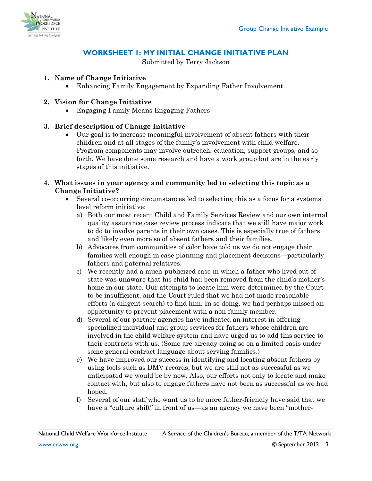

## **WORKSHEET 1: MY INITIAL CHANGE INITIATIVE PLAN**

Submitted by Terry Jackson

#### **1. Name of Change Initiative**

• Enhancing Family Engagement by Expanding Father Involvement

#### **2. Vision for Change Initiative**

• Engaging Family Means Engaging Fathers

#### **3. Brief description of Change Initiative**

• Our goal is to increase meaningful involvement of absent fathers with their children and at all stages of the family's involvement with child welfare. Program components may involve outreach, education, support groups, and so forth. We have done some research and have a work group but are in the early stages of this initiative.

#### **4. What issues in your agency and community led to selecting this topic as a Change Initiative?**

- Several co-occurring circumstances led to selecting this as a focus for a systems level reform initiative:
	- a) Both our most recent Child and Family Services Review and our own internal quality assurance case review process indicate that we still have major work to do to involve parents in their own cases. This is especially true of fathers and likely even more so of absent fathers and their families.
	- b) Advocates from communities of color have told us we do not engage their families well enough in case planning and placement decisions—particularly fathers and paternal relatives.
	- c) We recently had a much-publicized case in which a father who lived out of state was unaware that his child had been removed from the child's mother's home in our state. Our attempts to locate him were determined by the Court to be insufficient, and the Court ruled that we had not made reasonable efforts (a diligent search) to find him. In so doing, we had perhaps missed an opportunity to prevent placement with a non-family member.
	- d) Several of our partner agencies have indicated an interest in offering specialized individual and group services for fathers whose children are involved in the child welfare system and have urged us to add this service to their contracts with us. (Some are already doing so on a limited basis under some general contract language about serving families.)
	- e) We have improved our success in identifying and locating absent fathers by using tools such as DMV records, but we are still not as successful as we anticipated we would be by now. Also, our efforts not only to locate and make contact with, but also to engage fathers have not been as successful as we had hoped.
	- f) Several of our staff who want us to be more father-friendly have said that we have a "culture shift" in front of us—as an agency we have been "mother-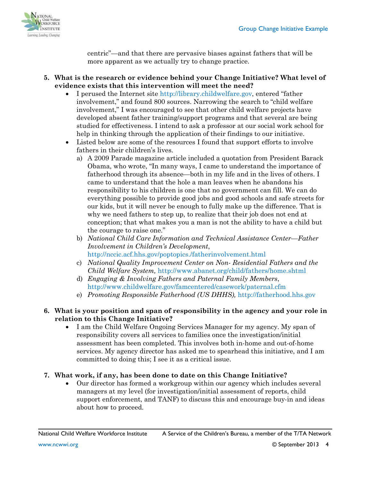

centric"—and that there are pervasive biases against fathers that will be more apparent as we actually try to change practice.

- **5. What is the research or evidence behind your Change Initiative? What level of evidence exists that this intervention will meet the need?**
	- I perused the Internet site [http://library.childwelfare.gov,](http://library.childwelfare.gov/) entered "father" involvement," and found 800 sources. Narrowing the search to "child welfare involvement," I was encouraged to see that other child welfare projects have developed absent father training/support programs and that several are being studied for effectiveness. I intend to ask a professor at our social work school for help in thinking through the application of their findings to our initiative.
	- Listed below are some of the resources I found that support efforts to involve fathers in their children's lives.
		- a) A 2009 Parade magazine article included a quotation from President Barack Obama, who wrote, "In many ways, I came to understand the importance of fatherhood through its absence—both in my life and in the lives of others. I came to understand that the hole a man leaves when he abandons his responsibility to his children is one that no government can fill. We can do everything possible to provide good jobs and good schools and safe streets for our kids, but it will never be enough to fully make up the difference. That is why we need fathers to step up, to realize that their job does not end at conception; that what makes you a man is not the ability to have a child but the courage to raise one."
		- b) *National Child Care Information and Technical Assistance Center—Father Involvement in Children's Development*, <http://nccic.acf.hhs.gov/poptopics./fatherinvolvement.html>
		- c) *National Quality Improvement Center on Non- Residential Fathers and the Child Welfare System,* <http://www.abanet.org/child/fathers/home.shtml>
		- d) *Engaging & Involving Fathers and Paternal Family Members*, <http://www.childwelfare.gov/famcentered/casework/paternal.cfm>
		- e) *Promoting Responsible Fatherhood (US DHHS),* [http://fatherhood.hhs.gov](http://fatherhood.hhs.gov/)

#### **6. What is your position and span of responsibility in the agency and your role in relation to this Change Initiative?**

• I am the Child Welfare Ongoing Services Manager for my agency. My span of responsibility covers all services to families once the investigation/initial assessment has been completed. This involves both in-home and out-of-home services. My agency director has asked me to spearhead this initiative, and I am committed to doing this; I see it as a critical issue.

#### **7. What work, if any, has been done to date on this Change Initiative?**

• Our director has formed a workgroup within our agency which includes several managers at my level (for investigation/initial assessment of reports, child support enforcement, and TANF) to discuss this and encourage buy-in and ideas about how to proceed.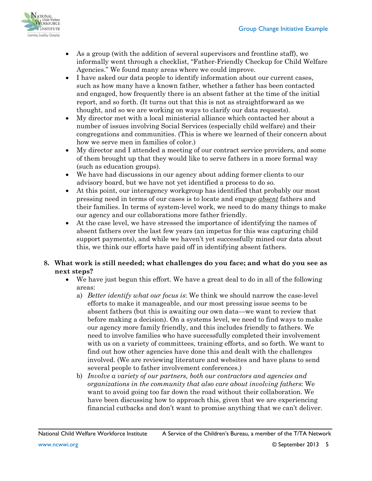

- As a group (with the addition of several supervisors and frontline staff), we informally went through a checklist, "Father-Friendly Checkup for Child Welfare Agencies." We found many areas where we could improve.
- I have asked our data people to identify information about our current cases, such as how many have a known father, whether a father has been contacted and engaged, how frequently there is an absent father at the time of the initial report, and so forth. (It turns out that this is not as straightforward as we thought, and so we are working on ways to clarify our data requests).
- My director met with a local ministerial alliance which contacted her about a number of issues involving Social Services (especially child welfare) and their congregations and communities. (This is where we learned of their concern about how we serve men in families of color.)
- My director and I attended a meeting of our contract service providers, and some of them brought up that they would like to serve fathers in a more formal way (such as education groups).
- We have had discussions in our agency about adding former clients to our advisory board, but we have not yet identified a process to do so.
- At this point, our interagency workgroup has identified that probably our most pressing need in terms of our cases is to locate and engage *absent* fathers and their families. In terms of system-level work, we need to do many things to make our agency and our collaborations more father friendly.
- At the case level, we have stressed the importance of identifying the names of absent fathers over the last few years (an impetus for this was capturing child support payments), and while we haven't yet successfully mined our data about this, we think our efforts have paid off in identifying absent fathers.

#### **8. What work is still needed; what challenges do you face; and what do you see as next steps?**

- We have just begun this effort. We have a great deal to do in all of the following areas:
	- a) *Better identify what our focus is*: We think we should narrow the case-level efforts to make it manageable, and our most pressing issue seems to be absent fathers (but this is awaiting our own data—we want to review that before making a decision). On a systems level, we need to find ways to make our agency more family friendly, and this includes friendly to fathers. We need to involve families who have successfully completed their involvement with us on a variety of committees, training efforts, and so forth. We want to find out how other agencies have done this and dealt with the challenges involved. (We are reviewing literature and websites and have plans to send several people to father involvement conferences.)
	- b) *Involve a variety of our partners, both our contractors and agencies and organizations in the community that also care about involving fathers*: We want to avoid going too far down the road without their collaboration. We have been discussing how to approach this, given that we are experiencing financial cutbacks and don't want to promise anything that we can't deliver.